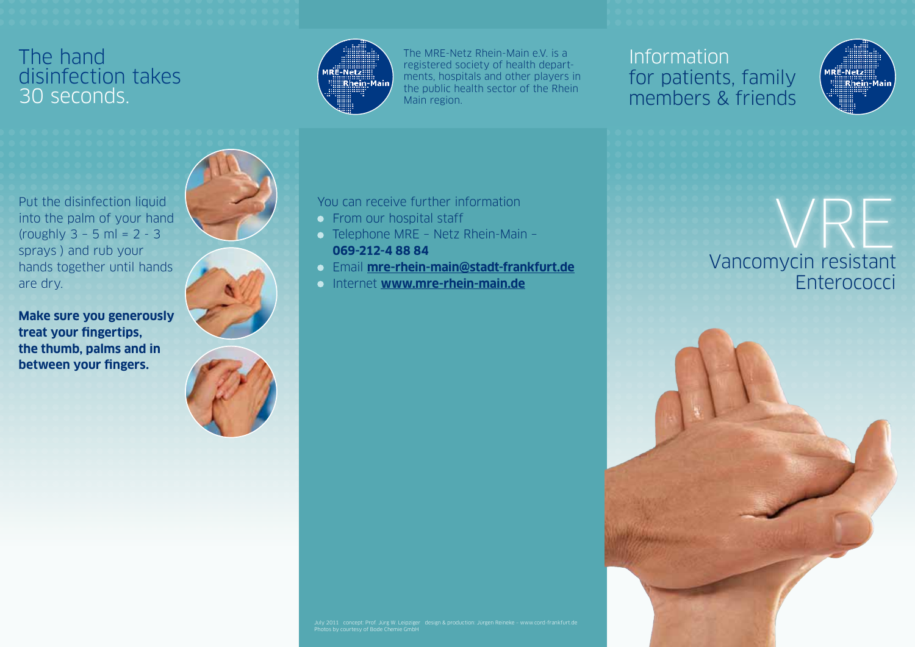#### The hand disinfection takes 30 seconds.



You can receive further information

Telephone MRE – Netz Rhein-Main –

Internet **www.mre-rhein-main.de**

Email **mre-rhein-main@stadt-frankfurt.de**

**• From our hospital staff** 

**069-212-4 88 84**

The MRE-Netz Rhein-Main e.V. is a registered society of health departments, hospitals and other players in the public health sector of the Rhein Main region.

## Information for patients, family members & friends



Vancomycin resistant **Enterococci** VRE



Put the disinfection liquid into the palm of your hand (roughly 3 – 5 ml = 2 - 3 sprays ) and rub your hands together until hands are dry.

**Make sure you generously treat your fingertips, the thumb, palms and in between your fingers.**